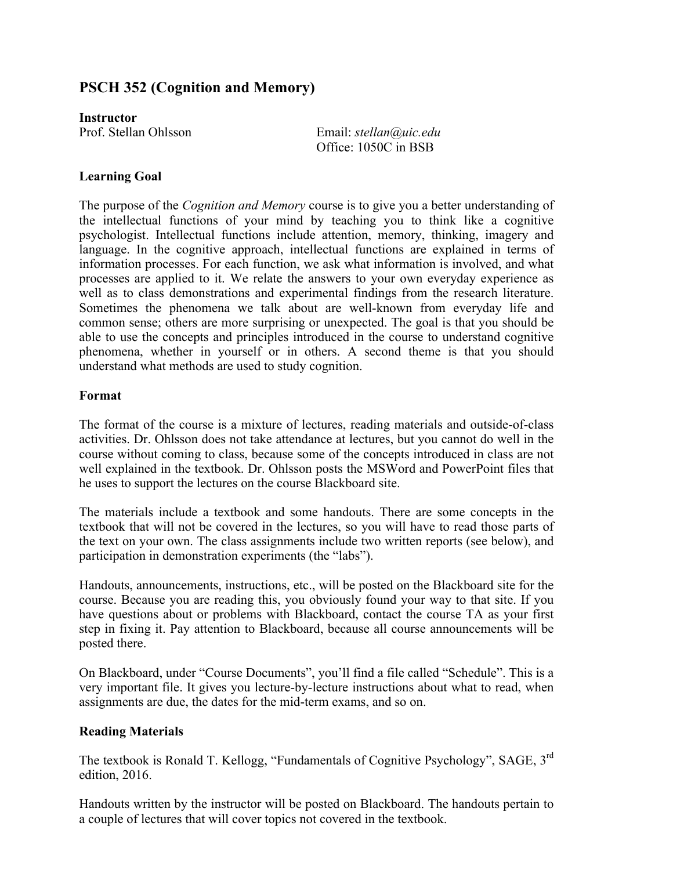# **PSCH 352 (Cognition and Memory)**

**Instructor**

Prof. Stellan Ohlsson Email: *stellan@uic.edu* Office: 1050C in BSB

# **Learning Goal**

The purpose of the *Cognition and Memory* course is to give you a better understanding of the intellectual functions of your mind by teaching you to think like a cognitive psychologist. Intellectual functions include attention, memory, thinking, imagery and language. In the cognitive approach, intellectual functions are explained in terms of information processes. For each function, we ask what information is involved, and what processes are applied to it. We relate the answers to your own everyday experience as well as to class demonstrations and experimental findings from the research literature. Sometimes the phenomena we talk about are well-known from everyday life and common sense; others are more surprising or unexpected. The goal is that you should be able to use the concepts and principles introduced in the course to understand cognitive phenomena, whether in yourself or in others. A second theme is that you should understand what methods are used to study cognition.

### **Format**

The format of the course is a mixture of lectures, reading materials and outside-of-class activities. Dr. Ohlsson does not take attendance at lectures, but you cannot do well in the course without coming to class, because some of the concepts introduced in class are not well explained in the textbook. Dr. Ohlsson posts the MSWord and PowerPoint files that he uses to support the lectures on the course Blackboard site.

The materials include a textbook and some handouts. There are some concepts in the textbook that will not be covered in the lectures, so you will have to read those parts of the text on your own. The class assignments include two written reports (see below), and participation in demonstration experiments (the "labs").

Handouts, announcements, instructions, etc., will be posted on the Blackboard site for the course. Because you are reading this, you obviously found your way to that site. If you have questions about or problems with Blackboard, contact the course TA as your first step in fixing it. Pay attention to Blackboard, because all course announcements will be posted there.

On Blackboard, under "Course Documents", you'll find a file called "Schedule". This is a very important file. It gives you lecture-by-lecture instructions about what to read, when assignments are due, the dates for the mid-term exams, and so on.

# **Reading Materials**

The textbook is Ronald T. Kellogg, "Fundamentals of Cognitive Psychology", SAGE, 3rd edition, 2016.

Handouts written by the instructor will be posted on Blackboard. The handouts pertain to a couple of lectures that will cover topics not covered in the textbook.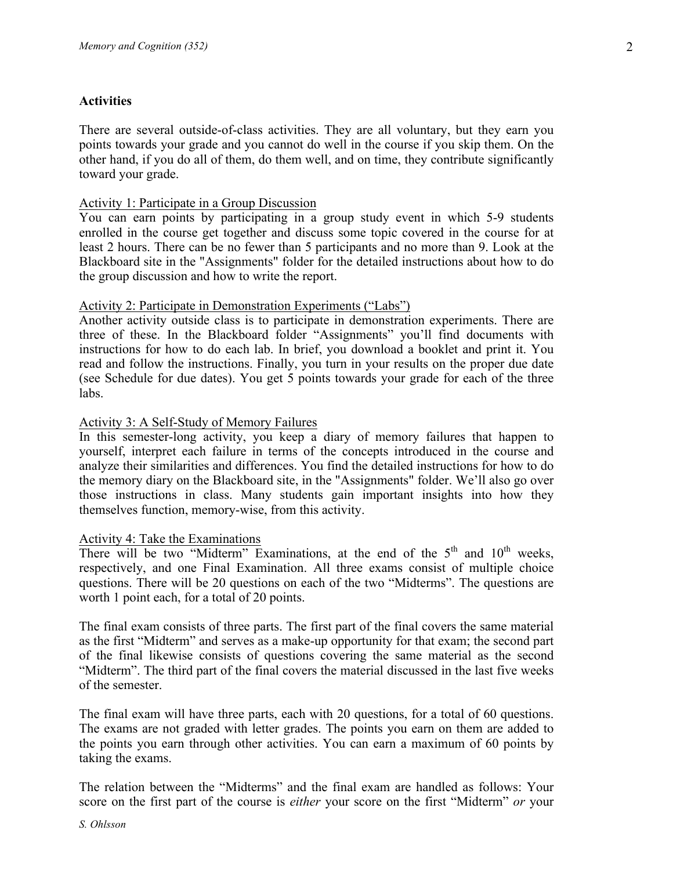# **Activities**

There are several outside-of-class activities. They are all voluntary, but they earn you points towards your grade and you cannot do well in the course if you skip them. On the other hand, if you do all of them, do them well, and on time, they contribute significantly toward your grade.

# Activity 1: Participate in a Group Discussion

You can earn points by participating in a group study event in which 5-9 students enrolled in the course get together and discuss some topic covered in the course for at least 2 hours. There can be no fewer than 5 participants and no more than 9. Look at the Blackboard site in the "Assignments" folder for the detailed instructions about how to do the group discussion and how to write the report.

#### Activity 2: Participate in Demonstration Experiments ("Labs")

Another activity outside class is to participate in demonstration experiments. There are three of these. In the Blackboard folder "Assignments" you'll find documents with instructions for how to do each lab. In brief, you download a booklet and print it. You read and follow the instructions. Finally, you turn in your results on the proper due date (see Schedule for due dates). You get 5 points towards your grade for each of the three labs.

### Activity 3: A Self-Study of Memory Failures

In this semester-long activity, you keep a diary of memory failures that happen to yourself, interpret each failure in terms of the concepts introduced in the course and analyze their similarities and differences. You find the detailed instructions for how to do the memory diary on the Blackboard site, in the "Assignments" folder. We'll also go over those instructions in class. Many students gain important insights into how they themselves function, memory-wise, from this activity.

#### Activity 4: Take the Examinations

There will be two "Midterm" Examinations, at the end of the  $5<sup>th</sup>$  and  $10<sup>th</sup>$  weeks, respectively, and one Final Examination. All three exams consist of multiple choice questions. There will be 20 questions on each of the two "Midterms". The questions are worth 1 point each, for a total of 20 points.

The final exam consists of three parts. The first part of the final covers the same material as the first "Midterm" and serves as a make-up opportunity for that exam; the second part of the final likewise consists of questions covering the same material as the second "Midterm". The third part of the final covers the material discussed in the last five weeks of the semester.

The final exam will have three parts, each with 20 questions, for a total of 60 questions. The exams are not graded with letter grades. The points you earn on them are added to the points you earn through other activities. You can earn a maximum of 60 points by taking the exams.

The relation between the "Midterms" and the final exam are handled as follows: Your score on the first part of the course is *either* your score on the first "Midterm" *or* your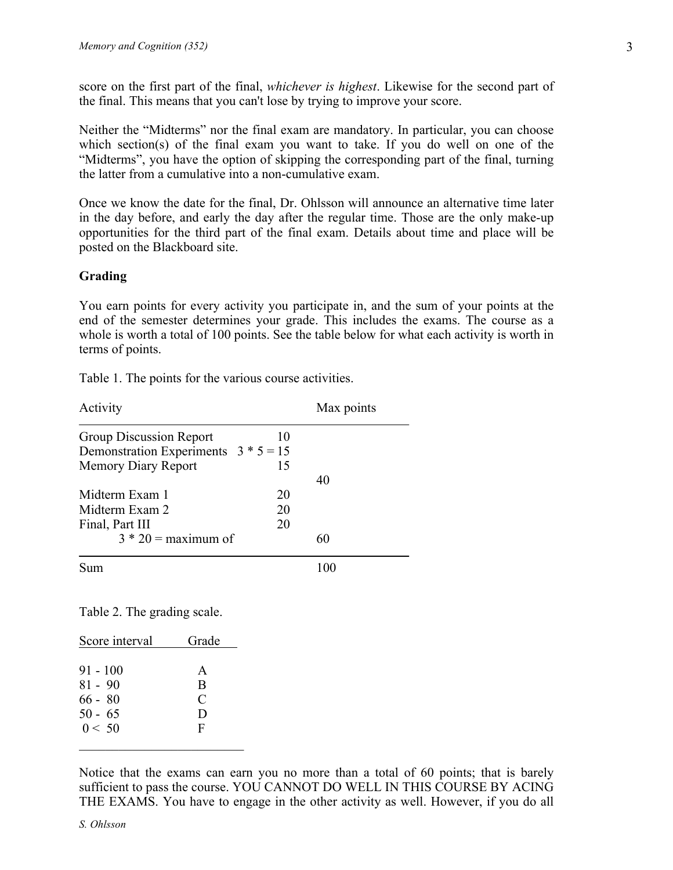score on the first part of the final, *whichever is highest*. Likewise for the second part of the final. This means that you can't lose by trying to improve your score.

Neither the "Midterms" nor the final exam are mandatory. In particular, you can choose which section(s) of the final exam you want to take. If you do well on one of the "Midterms", you have the option of skipping the corresponding part of the final, turning the latter from a cumulative into a non-cumulative exam.

Once we know the date for the final, Dr. Ohlsson will announce an alternative time later in the day before, and early the day after the regular time. Those are the only make-up opportunities for the third part of the final exam. Details about time and place will be posted on the Blackboard site.

#### **Grading**

You earn points for every activity you participate in, and the sum of your points at the end of the semester determines your grade. This includes the exams. The course as a whole is worth a total of 100 points. See the table below for what each activity is worth in terms of points.

Table 1. The points for the various course activities.

| Activity                               |    | Max points |  |
|----------------------------------------|----|------------|--|
| <b>Group Discussion Report</b>         | 10 |            |  |
| Demonstration Experiments $3 * 5 = 15$ |    |            |  |
| <b>Memory Diary Report</b>             | 15 |            |  |
|                                        |    | 40         |  |
| Midterm Exam 1                         | 20 |            |  |
| Midterm Exam 2                         | 20 |            |  |
| Final, Part III                        | 20 |            |  |
| $3 * 20 =$ maximum of                  |    | 60         |  |
| Sum                                    |    | 100        |  |
| Table 2. The grading scale.            |    |            |  |

| Score interval                                              | Grade                            |
|-------------------------------------------------------------|----------------------------------|
| $91 - 100$<br>$81 - 90$<br>$66 - 80$<br>$50 - 65$<br>0 < 50 | A<br>B<br>C<br>$\mathbf{D}$<br>F |
|                                                             |                                  |

Notice that the exams can earn you no more than a total of 60 points; that is barely sufficient to pass the course. YOU CANNOT DO WELL IN THIS COURSE BY ACING THE EXAMS. You have to engage in the other activity as well. However, if you do all